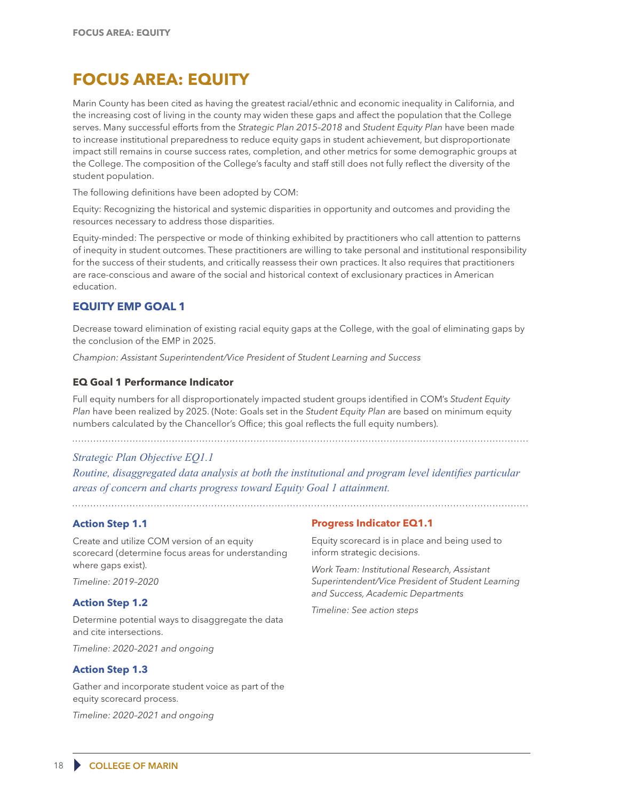# **FOCUS AREA: EQUITY**

Marin County has been cited as having the greatest racial/ethnic and economic inequality in California, and the increasing cost of living in the county may widen these gaps and affect the population that the College serves. Many successful efforts from the *Strategic Plan 2015–2018* and *Student Equity Plan* have been made to increase institutional preparedness to reduce equity gaps in student achievement, but disproportionate impact still remains in course success rates, completion, and other metrics for some demographic groups at the College. The composition of the College's faculty and staff still does not fully reflect the diversity of the student population.

The following definitions have been adopted by COM:

Equity: Recognizing the historical and systemic disparities in opportunity and outcomes and providing the resources necessary to address those disparities.

Equity-minded: The perspective or mode of thinking exhibited by practitioners who call attention to patterns of inequity in student outcomes. These practitioners are willing to take personal and institutional responsibility for the success of their students, and critically reassess their own practices. It also requires that practitioners are race-conscious and aware of the social and historical context of exclusionary practices in American education.

# **EQUITY EMP GOAL 1**

Decrease toward elimination of existing racial equity gaps at the College, with the goal of eliminating gaps by the conclusion of the EMP in 2025.

*Champion: Assistant Superintendent/Vice President of Student Learning and Success*

## **EQ Goal 1 Performance Indicator**

Full equity numbers for all disproportionately impacted student groups identified in COM's *Student Equity Plan* have been realized by 2025. (Note: Goals set in the *Student Equity Plan* are based on minimum equity numbers calculated by the Chancellor's Office; this goal reflects the full equity numbers).

# *Strategic Plan Objective EQ1.1*

*Routine, disaggregated data analysis at both the institutional and program level identifies particular areas of concern and charts progress toward Equity Goal 1 attainment.*

# **Action Step 1.1**

Create and utilize COM version of an equity scorecard (determine focus areas for understanding where gaps exist).

*Timeline: 2019–2020*

## **Action Step 1.2**

Determine potential ways to disaggregate the data and cite intersections.

*Timeline: 2020–2021 and ongoing* 

# **Action Step 1.3**

Gather and incorporate student voice as part of the equity scorecard process.

*Timeline: 2020–2021 and ongoing* 

## **Progress Indicator EQ1.1**

Equity scorecard is in place and being used to inform strategic decisions.

*Work Team: Institutional Research, Assistant Superintendent/Vice President of Student Learning and Success, Academic Departments* 

*Timeline: See action steps*